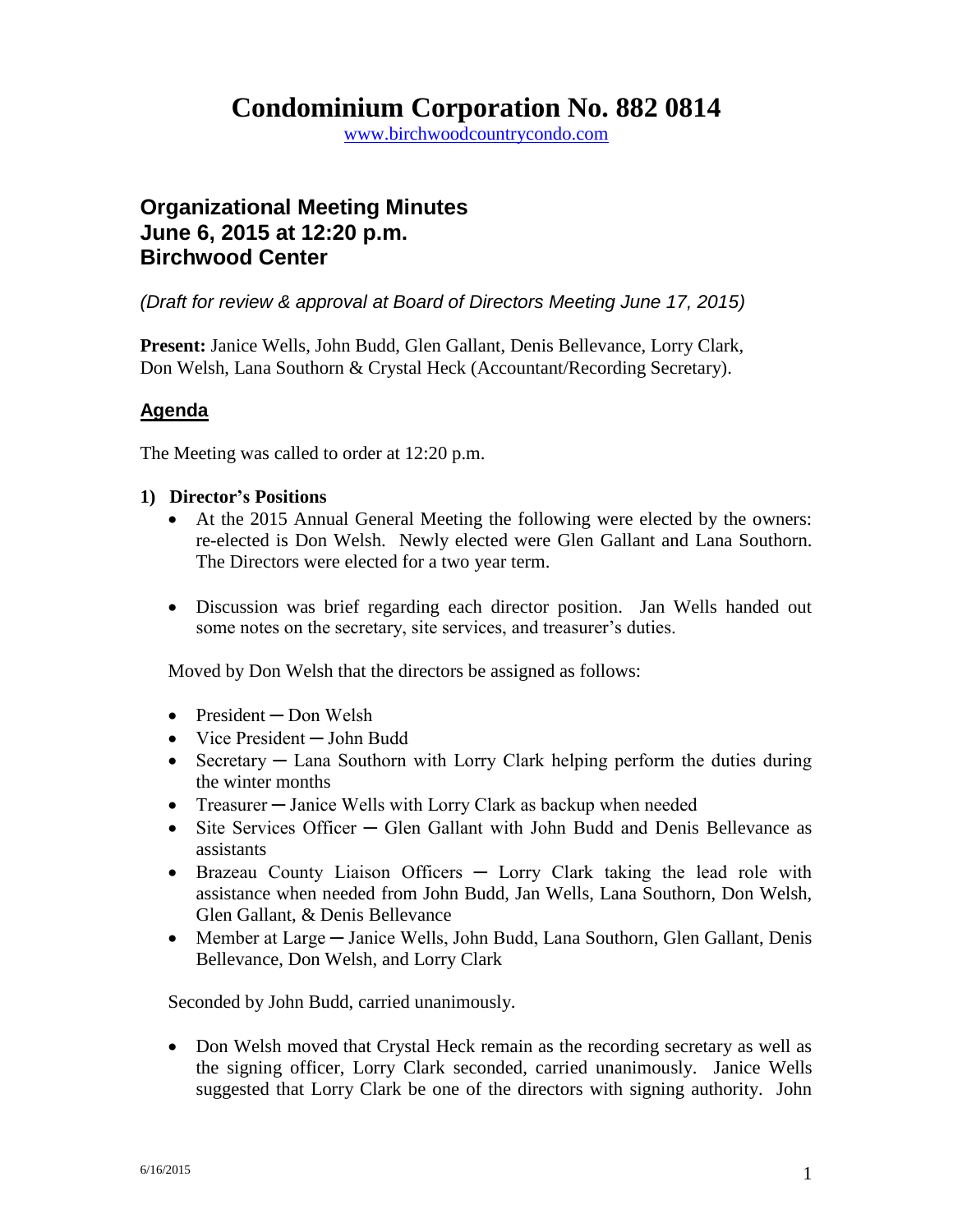## **Condominium Corporation No. 882 0814**

www.birchwoodcountrycondo.com

### **Organizational Meeting Minutes June 6, 2015 at 12:20 p.m. Birchwood Center**

*(Draft for review & approval at Board of Directors Meeting June 17, 2015)*

**Present:** Janice Wells, John Budd, Glen Gallant, Denis Bellevance, Lorry Clark, Don Welsh, Lana Southorn & Crystal Heck (Accountant/Recording Secretary).

#### **Agenda**

The Meeting was called to order at 12:20 p.m.

#### **1) Director's Positions**

- At the 2015 Annual General Meeting the following were elected by the owners: re-elected is Don Welsh. Newly elected were Glen Gallant and Lana Southorn. The Directors were elected for a two year term.
- Discussion was brief regarding each director position. Jan Wells handed out some notes on the secretary, site services, and treasurer's duties.

Moved by Don Welsh that the directors be assigned as follows:

- President Don Welsh
- Vice President ─ John Budd
- Secretary Lana Southorn with Lorry Clark helping perform the duties during the winter months
- Treasurer Janice Wells with Lorry Clark as backup when needed
- Site Services Officer Glen Gallant with John Budd and Denis Bellevance as assistants
- Brazeau County Liaison Officers Lorry Clark taking the lead role with assistance when needed from John Budd, Jan Wells, Lana Southorn, Don Welsh, Glen Gallant, & Denis Bellevance
- Member at Large Janice Wells, John Budd, Lana Southorn, Glen Gallant, Denis Bellevance, Don Welsh, and Lorry Clark

Seconded by John Budd, carried unanimously.

• Don Welsh moved that Crystal Heck remain as the recording secretary as well as the signing officer, Lorry Clark seconded, carried unanimously. Janice Wells suggested that Lorry Clark be one of the directors with signing authority. John